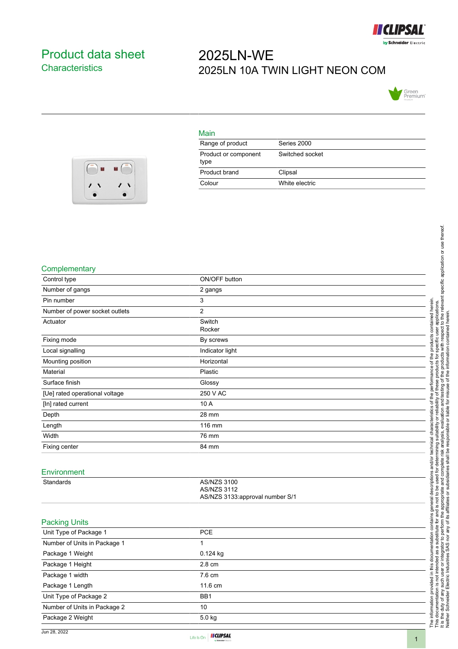

## <span id="page-0-0"></span>Product data sheet **Characteristics**

# 2025LN-WE 2025LN 10A TWIN LIGHT NEON COM



#### $\blacksquare$ F  $\sqrt{2}$ ,  $\overline{\phantom{a}}$  $\overline{\phantom{a}}$

| Main                         |                 |
|------------------------------|-----------------|
| Range of product             | Series 2000     |
| Product or component<br>type | Switched socket |
| Product brand                | Clipsal         |
| Colour                       | White electric  |

### **Complementary**

|                                |                                 | determining suitability or reliability of these products for specific user applications.<br>Interior and the readysis, even utility of the subset of the information of the relevant specific application o<br>Interior and the read |
|--------------------------------|---------------------------------|--------------------------------------------------------------------------------------------------------------------------------------------------------------------------------------------------------------------------------------|
| Complementary                  |                                 |                                                                                                                                                                                                                                      |
| Control type                   | ON/OFF button                   |                                                                                                                                                                                                                                      |
| Number of gangs                | 2 gangs                         |                                                                                                                                                                                                                                      |
| Pin number                     | 3                               |                                                                                                                                                                                                                                      |
| Number of power socket outlets | $\overline{c}$                  | contained herein                                                                                                                                                                                                                     |
| Actuator                       | Switch                          |                                                                                                                                                                                                                                      |
|                                | Rocker                          |                                                                                                                                                                                                                                      |
| Fixing mode                    | By screws                       | prod                                                                                                                                                                                                                                 |
| Local signalling               | Indicator light                 |                                                                                                                                                                                                                                      |
| Mounting position              | Horizontal                      | of the                                                                                                                                                                                                                               |
| Material                       | Plastic                         | performance                                                                                                                                                                                                                          |
| Surface finish                 | Glossy                          |                                                                                                                                                                                                                                      |
| [Ue] rated operational voltage | 250 V AC                        | the                                                                                                                                                                                                                                  |
| [In] rated current             | 10 A                            | ৳                                                                                                                                                                                                                                    |
| Depth                          | 28 mm                           | teristics                                                                                                                                                                                                                            |
| Length                         | 116 mm                          | ت<br>آ                                                                                                                                                                                                                               |
| Width                          | 76 mm                           | Tai<br>Chai                                                                                                                                                                                                                          |
| Fixing center                  | 84 mm                           | technical                                                                                                                                                                                                                            |
|                                |                                 |                                                                                                                                                                                                                                      |
| Environment                    |                                 | e used for determining<br>and complete risk ana<br>and/or                                                                                                                                                                            |
| Standards                      | <b>AS/NZS 3100</b>              | descriptions                                                                                                                                                                                                                         |
|                                | <b>AS/NZS 3112</b>              |                                                                                                                                                                                                                                      |
|                                | AS/NZS 3133:approval number S/1 |                                                                                                                                                                                                                                      |
|                                |                                 | r and is not to be u<br>I the appropriate ai<br>general                                                                                                                                                                              |
| <b>Packing Units</b>           |                                 | contains<br>₫                                                                                                                                                                                                                        |
| Unit Type of Package 1         | PCE                             | perform<br>ഉ                                                                                                                                                                                                                         |
| Number of Units in Package 1   | 1                               | this documentation<br>substit                                                                                                                                                                                                        |
| Package 1 Weight               | 0.124 kg                        | or integrator to<br>a<br>æ                                                                                                                                                                                                           |
| Package 1 Height               | 2.8 cm                          |                                                                                                                                                                                                                                      |
| Package 1 width                | 7.6 cm                          |                                                                                                                                                                                                                                      |
| Package 1 Length               | 11.6 cm                         |                                                                                                                                                                                                                                      |
| Unit Type of Package 2         | BB1                             |                                                                                                                                                                                                                                      |
| Number of Units in Package 2   | 10                              |                                                                                                                                                                                                                                      |
|                                |                                 |                                                                                                                                                                                                                                      |
| Package 2 Weight               | 5.0 kg                          | The information provided in this docu<br>This documentation is not intended a<br>It is the duty of any such user or integ<br>Neither Schneider Electric Industries                                                                   |
|                                |                                 |                                                                                                                                                                                                                                      |